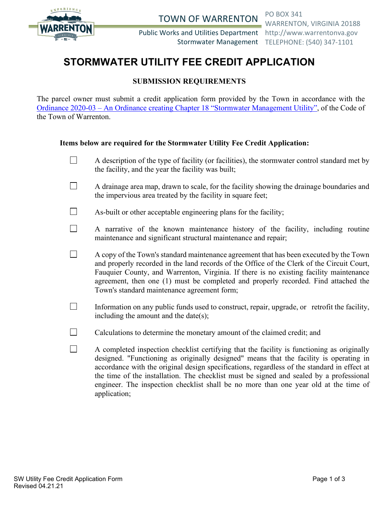

TOWN OF WARRENTON PO BOX 341

Public Works and Utilities Department http://www.warrentonva.gov

WARRENTON, VIRGINIA 20188 Stormwater Management TELEPHONE: (540) 347-1101

# **STORMWATER UTILITY FEE CREDIT APPLICATION**

## **SUBMISSION REQUIREMENTS**

The parcel owner must submit a credit application form provided by the Town in accordance with the Ordinance 2020-03 – [An Ordinance creating Chapter 18 "Stormwater Management Utility",](https://library.municode.com/va/warrenton/ordinances/code_of_ordinances?nodeId=1028617) of the Code of the Town of Warrenton.

## **Items below are required for the Stormwater Utility Fee Credit Application:**

- $\Box$ A description of the type of facility (or facilities), the stormwater control standard met by the facility, and the year the facility was built;
- $\Box$ A drainage area map, drawn to scale, for the facility showing the drainage boundaries and the impervious area treated by the facility in square feet;
- П As-built or other acceptable engineering plans for the facility;
- $\Box$ A narrative of the known maintenance history of the facility, including routine maintenance and significant structural maintenance and repair;
- $\Box$ A copy of the Town's standard maintenance agreement that has been executed by the Town and properly recorded in the land records of the Office of the Clerk of the Circuit Court, Fauquier County, and Warrenton, Virginia. If there is no existing facility maintenance agreement, then one (1) must be completed and properly recorded. Find attached the Town's standard maintenance agreement form;
- $\Box$ Information on any public funds used to construct, repair, upgrade, or retrofit the facility, including the amount and the date(s);
- $\Box$ Calculations to determine the monetary amount of the claimed credit; and
- $\Box$ A completed inspection checklist certifying that the facility is functioning as originally designed. "Functioning as originally designed" means that the facility is operating in accordance with the original design specifications, regardless of the standard in effect at the time of the installation. The checklist must be signed and sealed by a professional engineer. The inspection checklist shall be no more than one year old at the time of application;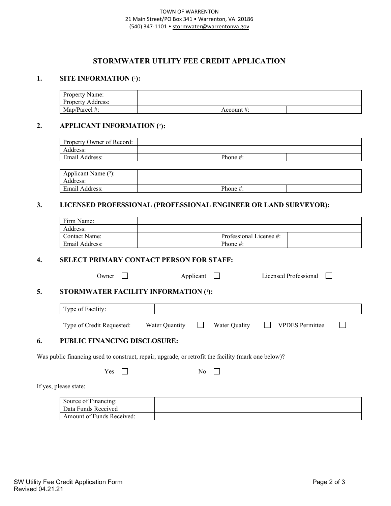#### TOWN OF WARRENTON 21 Main Street/PO Box 341 • Warrenton, VA 20186 (540) 347-1101 • [stormwater@warrentonva.gov](mailto:stormwater@warrentonva.gov)

## **STORMWATER UTLITY FEE CREDIT APPLICATION**

### **1. SITE INFORMATION** (1):

| Property Name:    |            |  |
|-------------------|------------|--|
| Property Address: |            |  |
| Map/Parcel #:     | Account #: |  |

#### **2. APPLICANT INFORMATION (**²**):**

| Property Owner of Record: |             |  |
|---------------------------|-------------|--|
| Address:                  |             |  |
| Email Address:            | Phone $#$ : |  |
|                           |             |  |

| $\cdot$<br>(3)<br>Applicant Name |          |  |
|----------------------------------|----------|--|
| Address:                         |          |  |
| Email Address:                   | Phone #: |  |

## **3. LICENSED PROFESSIONAL (PROFESSIONAL ENGINEER OR LAND SURVEYOR):**

| Firm Name:           |                         |  |
|----------------------|-------------------------|--|
| Address:             |                         |  |
| <b>Contact Name:</b> | Professional License #: |  |
| Email Address:       | Phone $#$ :             |  |

### **4. SELECT PRIMARY CONTACT PERSON FOR STAFF:**

Owner  $\Box$  Applicant  $\Box$  Licensed Professional  $\Box$ 

## **5. STORMWATER FACILITY INFORMATION (1):**

|                                                                                                     | Type of Facility:                   |                |  |               |                        |  |
|-----------------------------------------------------------------------------------------------------|-------------------------------------|----------------|--|---------------|------------------------|--|
|                                                                                                     | Type of Credit Requested:           | Water Quantity |  | Water Quality | <b>VPDES</b> Permittee |  |
| 6.                                                                                                  | <b>PUBLIC FINANCING DISCLOSURE:</b> |                |  |               |                        |  |
| Was public financing used to construct, repair, upgrade, or retrofit the facility (mark one below)? |                                     |                |  |               |                        |  |

 $\overline{\phantom{0}}$ 

| Yes | $\overline{1}$ |  |  |
|-----|----------------|--|--|
|     |                |  |  |

If yes, please state:

| Source of Financing:      |  |
|---------------------------|--|
| Data Funds Received       |  |
| Amount of Funds Received: |  |